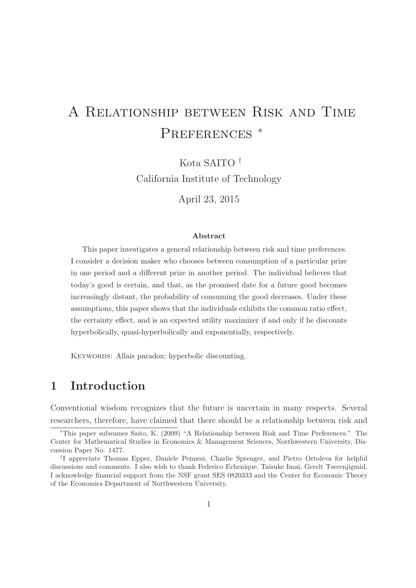# A Relationship between Risk and Time PREFERENCES<sup>\*</sup>

Kota SAITO † California Institute of Technology

April 23, 2015

#### Abstract

This paper investigates a general relationship between risk and time preferences. I consider a decision maker who chooses between consumption of a particular prize in one period and a different prize in another period. The individual believes that today's good is certain, and that, as the promised date for a future good becomes increasingly distant, the probability of consuming the good decreases. Under these assumptions, this paper shows that the individuals exhibits the common ratio effect, the certainty effect, and is an expected utility maximizer if and only if he discounts hyperbolically, quasi-hyperbolically and exponentially, respectively.

KEYWORDS: Allais paradox; hyperbolic discounting.

## 1 Introduction

Conventional wisdom recognizes that the future is uncertain in many respects. Several researchers, therefore, have claimed that there should be a relationship between risk and

<sup>∗</sup>This paper subsumes Saito, K. (2009) "A Relationship between Risk and Time Preferences." The Center for Mathematical Studies in Economics & Management Sciences, Northwestern University, Discussion Paper No. 1477.

<sup>†</sup> I appreciate Thomas Epper, Daniele Pennesi, Charlie Sprenger, and Pietro Ortoleva for helpful discussions and comments. I also wish to thank Federico Echenique, Taisuke Imai, Gerelt Tserenjigmid. I acknowledge financial support from the NSF grant SES 0820333 and the Center for Economic Theory of the Economics Department of Northwestern University.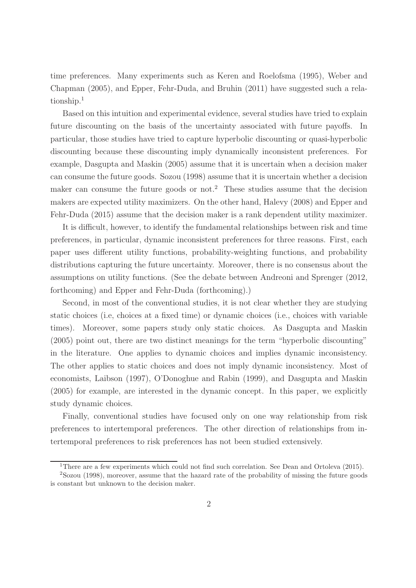time preferences. Many experiments such as Keren and Roelofsma (1995), Weber and Chapman (2005), and Epper, Fehr-Duda, and Bruhin (2011) have suggested such a relationship.<sup>1</sup>

Based on this intuition and experimental evidence, several studies have tried to explain future discounting on the basis of the uncertainty associated with future payoffs. In particular, those studies have tried to capture hyperbolic discounting or quasi-hyperbolic discounting because these discounting imply dynamically inconsistent preferences. For example, Dasgupta and Maskin (2005) assume that it is uncertain when a decision maker can consume the future goods. Sozou (1998) assume that it is uncertain whether a decision maker can consume the future goods or not.<sup>2</sup> These studies assume that the decision makers are expected utility maximizers. On the other hand, Halevy (2008) and Epper and Fehr-Duda (2015) assume that the decision maker is a rank dependent utility maximizer.

It is difficult, however, to identify the fundamental relationships between risk and time preferences, in particular, dynamic inconsistent preferences for three reasons. First, each paper uses different utility functions, probability-weighting functions, and probability distributions capturing the future uncertainty. Moreover, there is no consensus about the assumptions on utility functions. (See the debate between Andreoni and Sprenger (2012, forthcoming) and Epper and Fehr-Duda (forthcoming).)

Second, in most of the conventional studies, it is not clear whether they are studying static choices (i.e, choices at a fixed time) or dynamic choices (i.e., choices with variable times). Moreover, some papers study only static choices. As Dasgupta and Maskin (2005) point out, there are two distinct meanings for the term "hyperbolic discounting" in the literature. One applies to dynamic choices and implies dynamic inconsistency. The other applies to static choices and does not imply dynamic inconsistency. Most of economists, Laibson (1997), O'Donoghue and Rabin (1999), and Dasgupta and Maskin (2005) for example, are interested in the dynamic concept. In this paper, we explicitly study dynamic choices.

Finally, conventional studies have focused only on one way relationship from risk preferences to intertemporal preferences. The other direction of relationships from intertemporal preferences to risk preferences has not been studied extensively.

<sup>&</sup>lt;sup>1</sup>There are a few experiments which could not find such correlation. See Dean and Ortoleva (2015).

<sup>2</sup>Sozou (1998), moreover, assume that the hazard rate of the probability of missing the future goods is constant but unknown to the decision maker.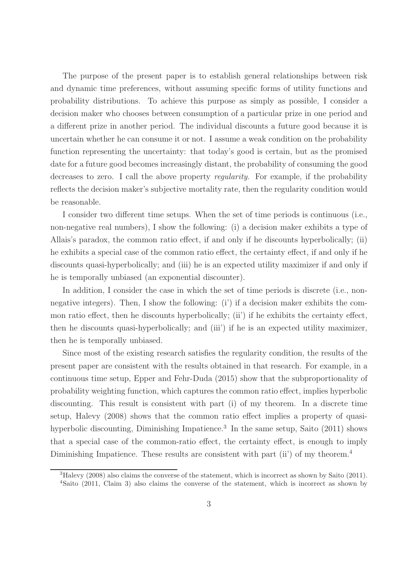The purpose of the present paper is to establish general relationships between risk and dynamic time preferences, without assuming specific forms of utility functions and probability distributions. To achieve this purpose as simply as possible, I consider a decision maker who chooses between consumption of a particular prize in one period and a different prize in another period. The individual discounts a future good because it is uncertain whether he can consume it or not. I assume a weak condition on the probability function representing the uncertainty: that today's good is certain, but as the promised date for a future good becomes increasingly distant, the probability of consuming the good decreases to zero. I call the above property regularity. For example, if the probability reflects the decision maker's subjective mortality rate, then the regularity condition would be reasonable.

I consider two different time setups. When the set of time periods is continuous (i.e., non-negative real numbers), I show the following: (i) a decision maker exhibits a type of Allais's paradox, the common ratio effect, if and only if he discounts hyperbolically; (ii) he exhibits a special case of the common ratio effect, the certainty effect, if and only if he discounts quasi-hyperbolically; and (iii) he is an expected utility maximizer if and only if he is temporally unbiased (an exponential discounter).

In addition, I consider the case in which the set of time periods is discrete (i.e., nonnegative integers). Then, I show the following: (i') if a decision maker exhibits the common ratio effect, then he discounts hyperbolically; (ii') if he exhibits the certainty effect, then he discounts quasi-hyperbolically; and (iii') if he is an expected utility maximizer, then he is temporally unbiased.

Since most of the existing research satisfies the regularity condition, the results of the present paper are consistent with the results obtained in that research. For example, in a continuous time setup, Epper and Fehr-Duda (2015) show that the subproportionality of probability weighting function, which captures the common ratio effect, implies hyperbolic discounting. This result is consistent with part (i) of my theorem. In a discrete time setup, Halevy (2008) shows that the common ratio effect implies a property of quasihyperbolic discounting, Diminishing Impatience.<sup>3</sup> In the same setup, Saito (2011) shows that a special case of the common-ratio effect, the certainty effect, is enough to imply Diminishing Impatience. These results are consistent with part (ii') of my theorem.<sup>4</sup>

 ${}^{3}$ Halevy (2008) also claims the converse of the statement, which is incorrect as shown by Saito (2011). <sup>4</sup>Saito (2011, Claim 3) also claims the converse of the statement, which is incorrect as shown by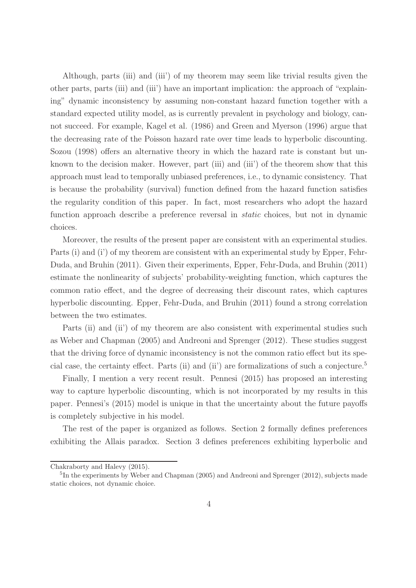Although, parts (iii) and (iii') of my theorem may seem like trivial results given the other parts, parts (iii) and (iii') have an important implication: the approach of "explaining" dynamic inconsistency by assuming non-constant hazard function together with a standard expected utility model, as is currently prevalent in psychology and biology, cannot succeed. For example, Kagel et al. (1986) and Green and Myerson (1996) argue that the decreasing rate of the Poisson hazard rate over time leads to hyperbolic discounting. Sozou (1998) offers an alternative theory in which the hazard rate is constant but unknown to the decision maker. However, part (iii) and (iii') of the theorem show that this approach must lead to temporally unbiased preferences, i.e., to dynamic consistency. That is because the probability (survival) function defined from the hazard function satisfies the regularity condition of this paper. In fact, most researchers who adopt the hazard function approach describe a preference reversal in *static* choices, but not in dynamic choices.

Moreover, the results of the present paper are consistent with an experimental studies. Parts (i) and (i') of my theorem are consistent with an experimental study by Epper, Fehr-Duda, and Bruhin (2011). Given their experiments, Epper, Fehr-Duda, and Bruhin (2011) estimate the nonlinearity of subjects' probability-weighting function, which captures the common ratio effect, and the degree of decreasing their discount rates, which captures hyperbolic discounting. Epper, Fehr-Duda, and Bruhin (2011) found a strong correlation between the two estimates.

Parts (ii) and (ii) of my theorem are also consistent with experimental studies such as Weber and Chapman (2005) and Andreoni and Sprenger (2012). These studies suggest that the driving force of dynamic inconsistency is not the common ratio effect but its special case, the certainty effect. Parts (ii) and (ii') are formalizations of such a conjecture.<sup>5</sup>

Finally, I mention a very recent result. Pennesi (2015) has proposed an interesting way to capture hyperbolic discounting, which is not incorporated by my results in this paper. Pennesi's (2015) model is unique in that the uncertainty about the future payoffs is completely subjective in his model.

The rest of the paper is organized as follows. Section 2 formally defines preferences exhibiting the Allais paradox. Section 3 defines preferences exhibiting hyperbolic and

Chakraborty and Halevy (2015).

<sup>&</sup>lt;sup>5</sup>In the experiments by Weber and Chapman (2005) and Andreoni and Sprenger (2012), subjects made static choices, not dynamic choice.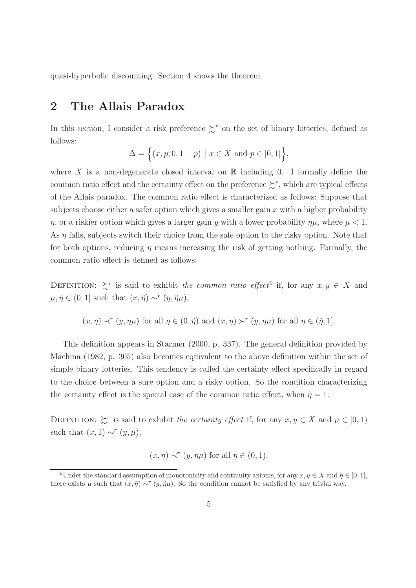quasi-hyperbolic discounting. Section 4 shows the theorem.

## 2 The Allais Paradox

In this section, I consider a risk preference  $\sum^r$  on the set of binary lotteries, defined as follows:

$$
\Delta = \Big\{ (x, p; 0, 1 - p) \mid x \in X \text{ and } p \in [0, 1] \Big\},\
$$

where X is a non-degenerate closed interval on  $\mathbb R$  including 0. I formally define the common ratio effect and the certainty effect on the preference  $\gtrsim^r$ , which are typical effects of the Allais paradox. The common ratio effect is characterized as follows: Suppose that subjects choose either a safer option which gives a smaller gain  $x$  with a higher probability  $\eta$ , or a riskier option which gives a larger gain y with a lower probability  $\eta\mu$ , where  $\mu < 1$ . As  $\eta$  falls, subjects switch their choice from the safe option to the risky option. Note that for both options, reducing  $\eta$  means increasing the risk of getting nothing. Formally, the common ratio effect is defined as follows:

DEFINITION:  $\zeta^r$  is said to exhibit the common ratio effect<sup>6</sup> if, for any  $x, y \in X$  and  $\mu, \tilde{\eta} \in (0, 1]$  such that  $(x, \tilde{\eta}) \sim^{r} (y, \tilde{\eta}\mu),$ 

$$
(x, \eta) \prec^r (y, \eta \mu)
$$
 for all  $\eta \in (0, \tilde{\eta})$  and  $(x, \eta) \succ^r (y, \eta \mu)$  for all  $\eta \in (\tilde{\eta}, 1]$ .

This definition appears in Starmer (2000, p. 337). The general definition provided by Machina (1982, p. 305) also becomes equivalent to the above definition within the set of simple binary lotteries. This tendency is called the certainty effect specifically in regard to the choice between a sure option and a risky option. So the condition characterizing the certainty effect is the special case of the common ratio effect, when  $\tilde{\eta} = 1$ :

DEFINITION:  $\sum^r$  is said to exhibit the certainty effect if, for any  $x, y \in X$  and  $\mu \in [0, 1)$ such that  $(x, 1) \sim^r (y, \mu)$ ,

$$
(x, \eta) \prec^r (y, \eta \mu)
$$
 for all  $\eta \in (0, 1)$ .

<sup>6</sup>Under the standard assumption of monotonicity and continuity axioms, for any  $x, y \in X$  and  $\tilde{\eta} \in [0, 1]$ , there exists  $\mu$  such that  $(x, \tilde{\eta}) \sim^r (y, \tilde{\eta} \mu)$ . So the condition cannot be satisfied by any trivial way.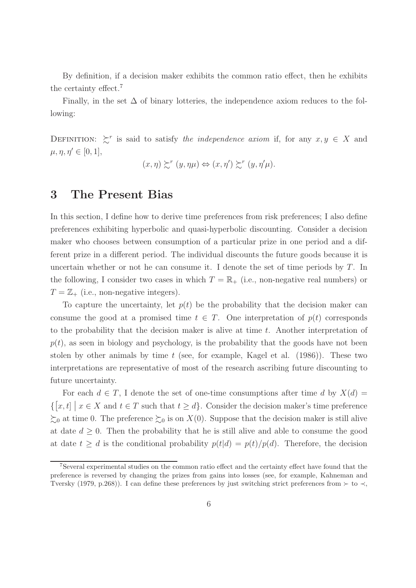By definition, if a decision maker exhibits the common ratio effect, then he exhibits the certainty effect.<sup>7</sup>

Finally, in the set  $\Delta$  of binary lotteries, the independence axiom reduces to the following:

DEFINITION:  $\zeta^r$  is said to satisfy the independence axiom if, for any  $x, y \in X$  and  $\mu, \eta, \eta' \in [0, 1],$ 

$$
(x,\eta) \succsim^{r} (y,\eta\mu) \Leftrightarrow (x,\eta') \succsim^{r} (y,\eta'\mu).
$$

#### 3 The Present Bias

In this section, I define how to derive time preferences from risk preferences; I also define preferences exhibiting hyperbolic and quasi-hyperbolic discounting. Consider a decision maker who chooses between consumption of a particular prize in one period and a different prize in a different period. The individual discounts the future goods because it is uncertain whether or not he can consume it. I denote the set of time periods by  $T$ . In the following, I consider two cases in which  $T = \mathbb{R}_{+}$  (i.e., non-negative real numbers) or  $T = \mathbb{Z}_+$  (i.e., non-negative integers).

To capture the uncertainty, let  $p(t)$  be the probability that the decision maker can consume the good at a promised time  $t \in T$ . One interpretation of  $p(t)$  corresponds to the probability that the decision maker is alive at time t. Another interpretation of  $p(t)$ , as seen in biology and psychology, is the probability that the goods have not been stolen by other animals by time  $t$  (see, for example, Kagel et al. (1986)). These two interpretations are representative of most of the research ascribing future discounting to future uncertainty.

For each  $d \in T$ , I denote the set of one-time consumptions after time d by  $X(d) =$  $\{[x,t] \mid x \in X \text{ and } t \in T \text{ such that } t \geq d\}.$  Consider the decision maker's time preference  $\gtrsim_0$  at time 0. The preference  $\gtrsim_0$  is on  $X(0)$ . Suppose that the decision maker is still alive at date  $d \geq 0$ . Then the probability that he is still alive and able to consume the good at date  $t \geq d$  is the conditional probability  $p(t|d) = p(t)/p(d)$ . Therefore, the decision

<sup>&</sup>lt;sup>7</sup>Several experimental studies on the common ratio effect and the certainty effect have found that the preference is reversed by changing the prizes from gains into losses (see, for example, Kahneman and Tversky (1979, p.268)). I can define these preferences by just switching strict preferences from  $\succ$  to  $\prec$ ,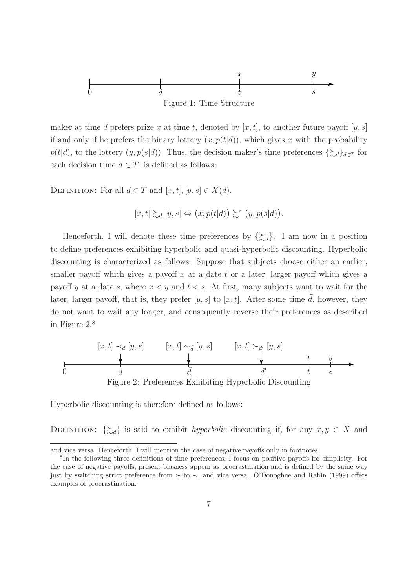

maker at time d prefers prize x at time t, denoted by  $[x, t]$ , to another future payoff  $[y, s]$ if and only if he prefers the binary lottery  $(x, p(t|d))$ , which gives x with the probability  $p(t|d)$ , to the lottery  $(y, p(s|d))$ . Thus, the decision maker's time preferences  $\{\gtrsim_d\}_{d\in\mathcal{T}}$  for each decision time  $d \in T$ , is defined as follows:

DEFINITION: For all  $d \in T$  and  $[x, t], [y, s] \in X(d)$ ,

$$
[x,t] \succsim_d [y,s] \Leftrightarrow (x,p(t|d)) \succsim^r (y,p(s|d)).
$$

Henceforth, I will denote these time preferences by  $\{\gtrsim_d\}$ . I am now in a position to define preferences exhibiting hyperbolic and quasi-hyperbolic discounting. Hyperbolic discounting is characterized as follows: Suppose that subjects choose either an earlier, smaller payoff which gives a payoff  $x$  at a date  $t$  or a later, larger payoff which gives a payoff y at a date s, where  $x \leq y$  and  $t \leq s$ . At first, many subjects want to wait for the later, larger payoff, that is, they prefer [y, s] to [x, t]. After some time  $\tilde{d}$ , however, they do not want to wait any longer, and consequently reverse their preferences as described in Figure 2.<sup>8</sup>



Hyperbolic discounting is therefore defined as follows:

DEFINITION:  $\{\gtrsim_d\}$  is said to exhibit *hyperbolic* discounting if, for any  $x, y \in X$  and

and vice versa. Henceforth, I will mention the case of negative payoffs only in footnotes.

<sup>8</sup> In the following three definitions of time preferences, I focus on positive payoffs for simplicity. For the case of negative payoffs, present biasness appear as procrastination and is defined by the same way just by switching strict preference from  $\succ$  to  $\prec$ , and vice versa. O'Donoghue and Rabin (1999) offers examples of procrastination.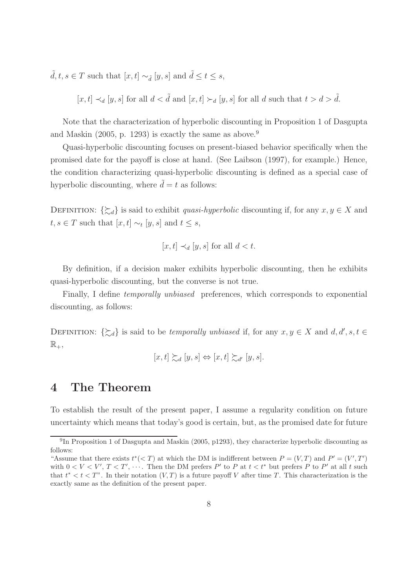$\tilde{d}, t, s \in T$  such that  $[x, t] \sim_{\tilde{d}} [y, s]$  and  $\tilde{d} \le t \le s$ ,

 $[x, t] \prec_d [y, s]$  for all  $d < \tilde{d}$  and  $[x, t] \succ_d [y, s]$  for all d such that  $t > d > \tilde{d}$ .

Note that the characterization of hyperbolic discounting in Proposition 1 of Dasgupta and Maskin  $(2005, p. 1293)$  is exactly the same as above.<sup>9</sup>

Quasi-hyperbolic discounting focuses on present-biased behavior specifically when the promised date for the payoff is close at hand. (See Laibson (1997), for example.) Hence, the condition characterizing quasi-hyperbolic discounting is defined as a special case of hyperbolic discounting, where  $\tilde{d} = t$  as follows:

DEFINITION:  $\{\gtrsim_d\}$  is said to exhibit *quasi-hyperbolic* discounting if, for any  $x, y \in X$  and  $t, s \in T$  such that  $[x, t] \sim_t [y, s]$  and  $t \leq s$ ,

$$
[x, t] \prec_d [y, s] \text{ for all } d < t.
$$

By definition, if a decision maker exhibits hyperbolic discounting, then he exhibits quasi-hyperbolic discounting, but the converse is not true.

Finally, I define temporally unbiased preferences, which corresponds to exponential discounting, as follows:

DEFINITION:  $\{\zeta_d\}$  is said to be *temporally unbiased* if, for any  $x, y \in X$  and  $d, d', s, t \in$  $\mathbb{R}_+,$ 

$$
[x,t] \succsim_d [y,s] \Leftrightarrow [x,t] \succsim_{d'} [y,s].
$$

### 4 The Theorem

To establish the result of the present paper, I assume a regularity condition on future uncertainty which means that today's good is certain, but, as the promised date for future

<sup>&</sup>lt;sup>9</sup>In Proposition 1 of Dasgupta and Maskin (2005, p1293), they characterize hyperbolic discounting as follows:

<sup>&</sup>quot;Assume that there exists  $t^*(-T)$  at which the DM is indifferent between  $P = (V, T)$  and  $P' = (V', T')$ with  $0 < V < V'$ ,  $T < T'$ ,  $\cdots$ . Then the DM prefers P' to P at  $t < t^*$  but prefers P to P' at all t such that  $t^* < t < T$ ". In their notation  $(V, T)$  is a future payoff V after time T. This characterization is the exactly same as the definition of the present paper.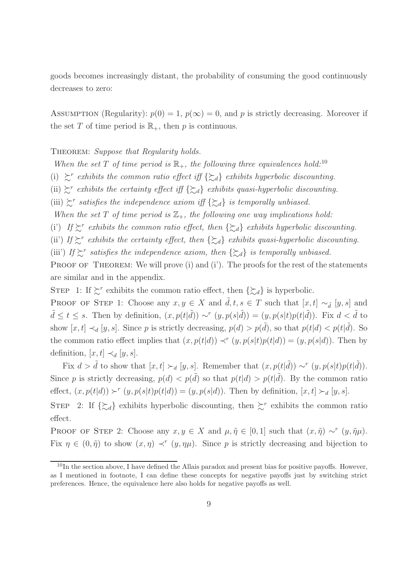goods becomes increasingly distant, the probability of consuming the good continuously decreases to zero:

ASSUMPTION (Regularity):  $p(0) = 1$ ,  $p(\infty) = 0$ , and p is strictly decreasing. Moreover if the set T of time period is  $\mathbb{R}_+$ , then p is continuous.

THEOREM: Suppose that Regularity holds.

When the set T of time period is  $\mathbb{R}_+$ , the following three equivalences hold:<sup>10</sup>

- (i)  $\sum^r$  exhibits the common ratio effect iff  $\{\sum_d\}$  exhibits hyperbolic discounting.
- (ii)  $\zeta^r$  exhibits the certainty effect iff  $\{\zeta_d\}$  exhibits quasi-hyperbolic discounting.
- (iii)  $\gtrsim$ <sup>r</sup> satisfies the independence axiom iff  $\{\gtrsim_d\}$  is temporally unbiased.

When the set T of time period is  $\mathbb{Z}_+$ , the following one way implications hold:

(i) If  $\gtrsim^r$  exhibits the common ratio effect, then  $\{\gtrsim_d\}$  exhibits hyperbolic discounting.

(ii) If  $\gtrsim^r$  exhibits the certainty effect, then  $\{\gtrsim_d\}$  exhibits quasi-hyperbolic discounting.

(iii') If  $\sum^r$  satisfies the independence axiom, then  $\{\sum_d\}$  is temporally unbiased.

PROOF OF THEOREM: We will prove (i) and (i'). The proofs for the rest of the statements are similar and in the appendix.

STEP 1: If  $\sum^r$  exhibits the common ratio effect, then  $\{\sum d\}$  is hyperbolic.

PROOF OF STEP 1: Choose any  $x, y \in X$  and  $\tilde{d}, t, s \in T$  such that  $[x, t] \sim_{\tilde{d}} [y, s]$  and  $\tilde{d} \leq t \leq s$ . Then by definition,  $(x, p(t|\tilde{d})) \sim^r (y, p(s|\tilde{d})) = (y, p(s|t)p(t|\tilde{d}))$ . Fix  $d < \tilde{d}$  to show  $[x,t] \prec_d [y,s]$ . Since p is strictly decreasing,  $p(d) > p(\tilde{d})$ , so that  $p(t|d) < p(t|\tilde{d})$ . So the common ratio effect implies that  $(x, p(t|d)) \prec^r (y, p(s|t)p(t|d)) = (y, p(s|d))$ . Then by definition,  $[x, t] \prec_d [y, s]$ .

Fix  $d > \tilde{d}$  to show that  $[x, t] \succ d [y, s]$ . Remember that  $(x, p(t|\tilde{d})) \sim^r (y, p(s|t)p(t|\tilde{d}))$ . Since p is strictly decreasing,  $p(d) < p(\tilde{d})$  so that  $p(t|d) > p(t|\tilde{d})$ . By the common ratio effect,  $(x, p(t|d)) \succ^r (y, p(s|t)p(t|d)) = (y, p(s|d))$ . Then by definition,  $[x, t] \succ_d [y, s]$ .

STEP 2: If  $\{\zeta_d\}$  exhibits hyperbolic discounting, then  $\zeta^r$  exhibits the common ratio effect.

PROOF OF STEP 2: Choose any  $x, y \in X$  and  $\mu, \tilde{\eta} \in [0, 1]$  such that  $(x, \tilde{\eta}) \sim^r (y, \tilde{\eta}\mu)$ . Fix  $\eta \in (0, \tilde{\eta})$  to show  $(x, \eta) \prec^r (y, \eta \mu)$ . Since p is strictly decreasing and bijection to

 $10$ In the section above, I have defined the Allais paradox and present bias for positive payoffs. However, as I mentioned in footnote, I can define these concepts for negative payoffs just by switching strict preferences. Hence, the equivalence here also holds for negative payoffs as well.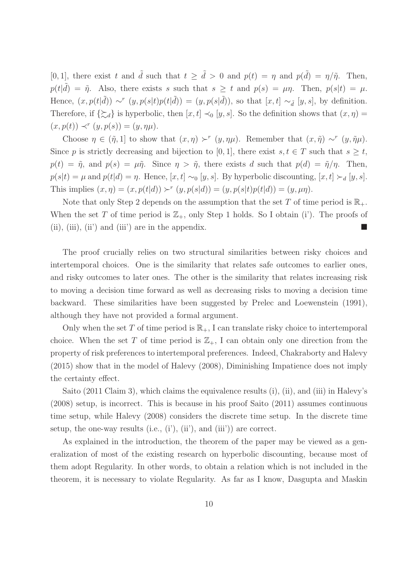[0, 1], there exist t and  $\tilde{d}$  such that  $t \geq \tilde{d} > 0$  and  $p(t) = \eta$  and  $p(\tilde{d}) = \eta/\tilde{\eta}$ . Then,  $p(t|\tilde{d}) = \tilde{\eta}$ . Also, there exists s such that  $s \geq t$  and  $p(s) = \mu \eta$ . Then,  $p(s|t) = \mu$ . Hence,  $(x, p(t|\tilde{d})) \sim^r (y, p(s|t)p(t|\tilde{d})) = (y, p(s|\tilde{d}))$ , so that  $[x, t] \sim_{\tilde{d}} [y, s]$ , by definition. Therefore, if  $\{\gtrsim_d\}$  is hyperbolic, then  $[x, t] \prec_0 [y, s]$ . So the definition shows that  $(x, \eta) =$  $(x, p(t)) \prec^r (y, p(s)) = (y, \eta \mu).$ 

Choose  $\eta \in (\tilde{\eta}, 1]$  to show that  $(x, \eta) \succ^r (y, \eta \mu)$ . Remember that  $(x, \tilde{\eta}) \sim^r (y, \tilde{\eta} \mu)$ . Since p is strictly decreasing and bijection to [0, 1], there exist  $s, t \in T$  such that  $s \geq t$ ,  $p(t) = \tilde{\eta}$ , and  $p(s) = \mu \tilde{\eta}$ . Since  $\eta > \tilde{\eta}$ , there exists d such that  $p(d) = \tilde{\eta}/\eta$ . Then,  $p(s|t) = \mu$  and  $p(t|d) = \eta$ . Hence, [x, t] ∼<sub>0</sub> [y, s]. By hyperbolic discounting, [x, t] ≻<sub>d</sub> [y, s]. This implies  $(x, \eta) = (x, p(t|d)) \succ^r (y, p(s|d)) = (y, p(s|t)p(t|d)) = (y, \mu\eta)$ .

Note that only Step 2 depends on the assumption that the set T of time period is  $\mathbb{R}_+$ . When the set T of time period is  $\mathbb{Z}_+$ , only Step 1 holds. So I obtain (i'). The proofs of (ii), (iii), (iii) and (iiii) are in the appendix.

The proof crucially relies on two structural similarities between risky choices and intertemporal choices. One is the similarity that relates safe outcomes to earlier ones, and risky outcomes to later ones. The other is the similarity that relates increasing risk to moving a decision time forward as well as decreasing risks to moving a decision time backward. These similarities have been suggested by Prelec and Loewenstein (1991), although they have not provided a formal argument.

Only when the set T of time period is  $\mathbb{R}_+$ , I can translate risky choice to intertemporal choice. When the set T of time period is  $\mathbb{Z}_+$ , I can obtain only one direction from the property of risk preferences to intertemporal preferences. Indeed, Chakraborty and Halevy (2015) show that in the model of Halevy (2008), Diminishing Impatience does not imply the certainty effect.

Saito (2011 Claim 3), which claims the equivalence results (i), (ii), and (iii) in Halevy's (2008) setup, is incorrect. This is because in his proof Saito (2011) assumes continuous time setup, while Halevy (2008) considers the discrete time setup. In the discrete time setup, the one-way results (i.e.,  $(i')$ ,  $(ii')$ , and  $(iii')$ ) are correct.

As explained in the introduction, the theorem of the paper may be viewed as a generalization of most of the existing research on hyperbolic discounting, because most of them adopt Regularity. In other words, to obtain a relation which is not included in the theorem, it is necessary to violate Regularity. As far as I know, Dasgupta and Maskin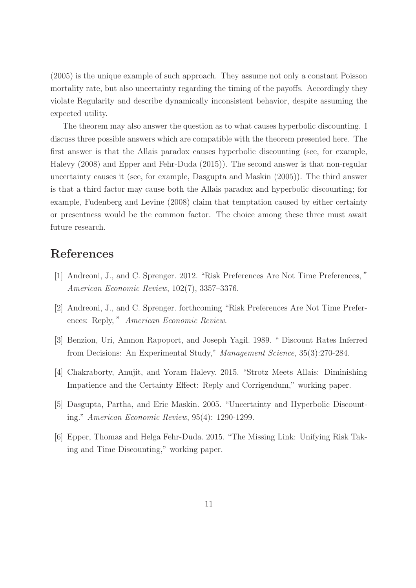(2005) is the unique example of such approach. They assume not only a constant Poisson mortality rate, but also uncertainty regarding the timing of the payoffs. Accordingly they violate Regularity and describe dynamically inconsistent behavior, despite assuming the expected utility.

The theorem may also answer the question as to what causes hyperbolic discounting. I discuss three possible answers which are compatible with the theorem presented here. The first answer is that the Allais paradox causes hyperbolic discounting (see, for example, Halevy (2008) and Epper and Fehr-Duda (2015)). The second answer is that non-regular uncertainty causes it (see, for example, Dasgupta and Maskin (2005)). The third answer is that a third factor may cause both the Allais paradox and hyperbolic discounting; for example, Fudenberg and Levine (2008) claim that temptation caused by either certainty or presentness would be the common factor. The choice among these three must await future research.

# References

- [1] Andreoni, J., and C. Sprenger. 2012. "Risk Preferences Are Not Time Preferences, " American Economic Review, 102(7), 3357–3376.
- [2] Andreoni, J., and C. Sprenger. forthcoming "Risk Preferences Are Not Time Preferences: Reply," American Economic Review.
- [3] Benzion, Uri, Amnon Rapoport, and Joseph Yagil. 1989. " Discount Rates Inferred from Decisions: An Experimental Study," Management Science, 35(3):270-284.
- [4] Chakraborty, Anujit, and Yoram Halevy. 2015. "Strotz Meets Allais: Diminishing Impatience and the Certainty Effect: Reply and Corrigendum," working paper.
- [5] Dasgupta, Partha, and Eric Maskin. 2005. "Uncertainty and Hyperbolic Discounting." American Economic Review, 95(4): 1290-1299.
- [6] Epper, Thomas and Helga Fehr-Duda. 2015. "The Missing Link: Unifying Risk Taking and Time Discounting," working paper.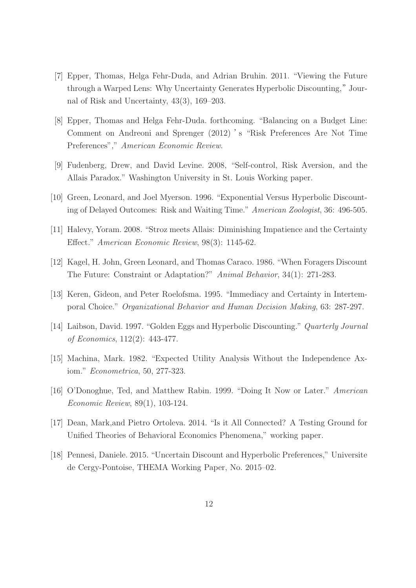- [7] Epper, Thomas, Helga Fehr-Duda, and Adrian Bruhin. 2011. "Viewing the Future through a Warped Lens: Why Uncertainty Generates Hyperbolic Discounting,"Journal of Risk and Uncertainty, 43(3), 169–203.
- [8] Epper, Thomas and Helga Fehr-Duda. forthcoming. "Balancing on a Budget Line: Comment on Andreoni and Sprenger (2012) 's "Risk Preferences Are Not Time Preferences"," American Economic Review.
- [9] Fudenberg, Drew, and David Levine. 2008, "Self-control, Risk Aversion, and the Allais Paradox." Washington University in St. Louis Working paper.
- [10] Green, Leonard, and Joel Myerson. 1996. "Exponential Versus Hyperbolic Discounting of Delayed Outcomes: Risk and Waiting Time." American Zoologist, 36: 496-505.
- [11] Halevy, Yoram. 2008. "Stroz meets Allais: Diminishing Impatience and the Certainty Effect." American Economic Review, 98(3): 1145-62.
- [12] Kagel, H. John, Green Leonard, and Thomas Caraco. 1986. "When Foragers Discount The Future: Constraint or Adaptation?" Animal Behavior, 34(1): 271-283.
- [13] Keren, Gideon, and Peter Roelofsma. 1995. "Immediacy and Certainty in Intertemporal Choice." Organizational Behavior and Human Decision Making, 63: 287-297.
- [14] Laibson, David. 1997. "Golden Eggs and Hyperbolic Discounting." Quarterly Journal of Economics, 112(2): 443-477.
- [15] Machina, Mark. 1982. "Expected Utility Analysis Without the Independence Axiom." Econometrica, 50, 277-323.
- [16] O'Donoghue, Ted, and Matthew Rabin. 1999. "Doing It Now or Later." American Economic Review, 89(1), 103-124.
- [17] Dean, Mark,and Pietro Ortoleva. 2014. "Is it All Connected? A Testing Ground for Unified Theories of Behavioral Economics Phenomena," working paper.
- [18] Pennesi, Daniele. 2015. "Uncertain Discount and Hyperbolic Preferences," Universite de Cergy-Pontoise, THEMA Working Paper, No. 2015–02.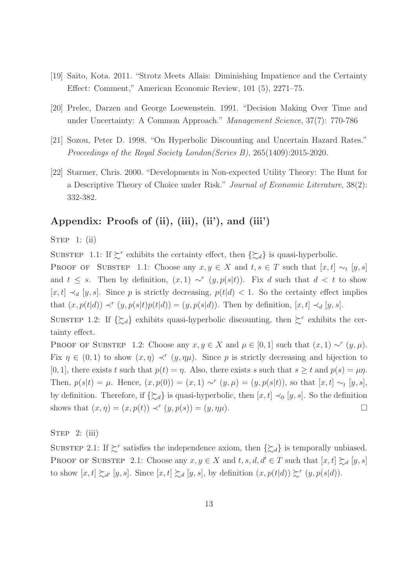- [19] Saito, Kota. 2011. "Strotz Meets Allais: Diminishing Impatience and the Certainty Effect: Comment," American Economic Review, 101 (5), 2271–75.
- [20] Prelec, Darzen and George Loewenstein. 1991. "Decision Making Over Time and under Uncertainty: A Common Approach." Management Science, 37(7): 770-786
- [21] Sozou, Peter D. 1998. "On Hyperbolic Discounting and Uncertain Hazard Rates." Proceedings of the Royal Society London(Series B), 265(1409):2015-2020.
- [22] Starmer, Chris. 2000. "Developments in Non-expected Utility Theory: The Hunt for a Descriptive Theory of Choice under Risk." Journal of Economic Literature, 38(2): 332-382.

#### Appendix: Proofs of (ii), (iii), (ii'), and (iii')

#### STEP 1:  $(ii)$

SUBSTEP 1.1: If  $\succsim^r$  exhibits the certainty effect, then  $\{\succsim_d\}$  is quasi-hyperbolic.

PROOF OF SUBSTEP 1.1: Choose any  $x, y \in X$  and  $t, s \in T$  such that  $[x, t] \sim_t [y, s]$ and  $t \leq s$ . Then by definition,  $(x, 1) \sim^r (y, p(s|t))$ . Fix d such that  $d < t$  to show  $[x, t] \prec_d [y, s]$ . Since p is strictly decreasing,  $p(t|d) < 1$ . So the certainty effect implies that  $(x, p(t|d)) \prec^r (y, p(s|t)p(t|d)) = (y, p(s|d))$ . Then by definition,  $[x, t] \prec_d [y, s]$ .

SUBSTEP 1.2: If  $\{\zeta_d\}$  exhibits quasi-hyperbolic discounting, then  $\succsim^r$  exhibits the certainty effect.

PROOF OF SUBSTEP 1.2: Choose any  $x, y \in X$  and  $\mu \in [0, 1]$  such that  $(x, 1) \sim^r (y, \mu)$ . Fix  $\eta \in (0,1)$  to show  $(x,\eta) \prec^r (y,\eta\mu)$ . Since p is strictly decreasing and bijection to [0, 1], there exists t such that  $p(t) = \eta$ . Also, there exists s such that  $s \ge t$  and  $p(s) = \mu \eta$ . Then,  $p(s|t) = \mu$ . Hence,  $(x, p(0)) = (x, 1) \sim^r (y, \mu) = (y, p(s|t))$ , so that  $[x, t] \sim_t [y, s]$ , by definition. Therefore, if  $\{\zeta_d\}$  is quasi-hyperbolic, then  $[x, t] \prec_0 [y, s]$ . So the definition shows that  $(x, \eta) = (x, p(t)) \prec^r (y, p(s)) = (y, \eta\mu)$ .

STEP  $2: (iii)$ 

SUBSTEP 2.1: If  $\succsim^r$  satisfies the independence axiom, then  $\{\succeq_d\}$  is temporally unbiased. PROOF OF SUBSTEP 2.1: Choose any  $x, y \in X$  and  $t, s, d, d' \in T$  such that  $[x, t] \succsim d [y, s]$ to show  $[x, t] \succsim_{d'} [y, s]$ . Since  $[x, t] \succsim_d [y, s]$ , by definition  $(x, p(t|d)) \succsim^{r} (y, p(s|d))$ .